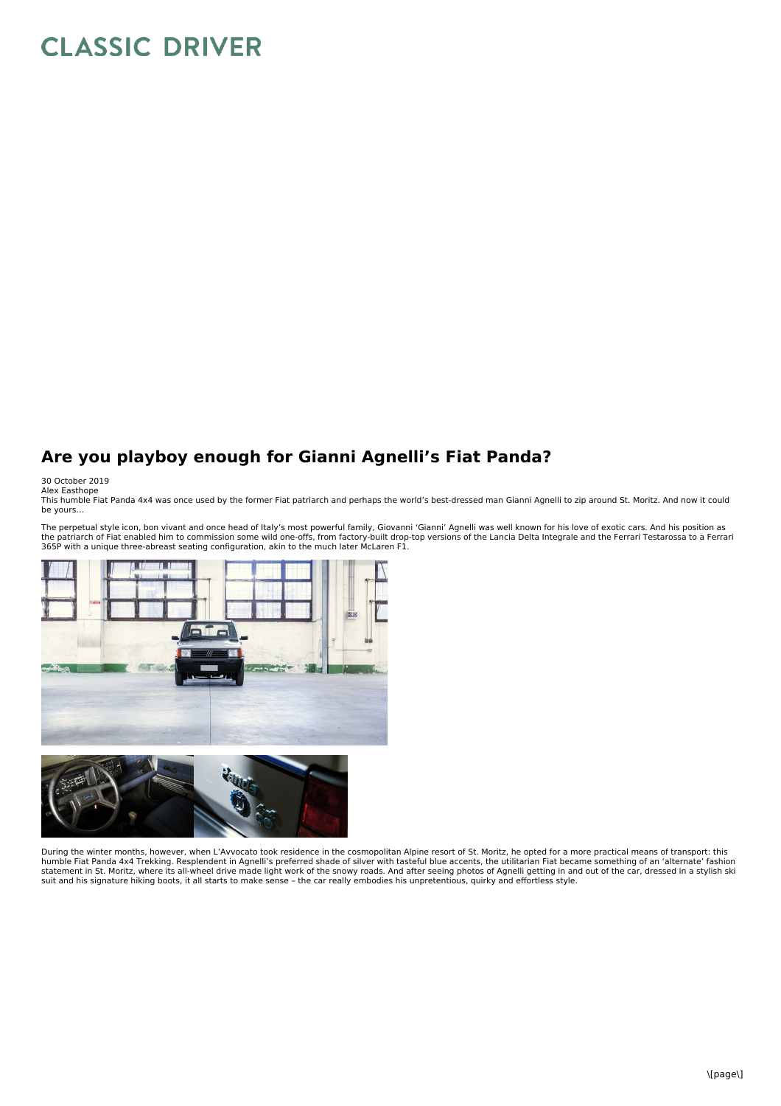## **CLASSIC DRIVER**

## **Are you playboy enough for Gianni Agnelli's Fiat Panda?**

30 October 2019<br>Alex Easthope<br>This humble Fiat Panda 4x4 was once used by the former Fiat patriarch and perhaps the world's best-dressed man Gianni Agnelli to zip around St. Moritz. And now it could<br>This humble Fiat Panda

The perpetual style icon, bon vivant and once head of Italy's most powerful family, Giovanni 'Gianni' Agnelli was well known for his love of exotic cars. And his position as<br>the patriarch of Fiat enabled him to commission





During the winter months, however, when L'Avvocato took residence in the cosmopolitan Alpine resort of St. Moritz, he opted for a more practical means of transport: this humble Fiat Panda 4x4 Trekking. Resplendent in Agnelli's preferred shade of silver with tasteful blue accents, the utilitarian Fiat became something of an 'alternate' fashion statement in St. Moritz, where its all-wheel drive made light work of the snowy roads. And after seeing photos of Agnelli getting in and out of the car, dressed in a stylish ski<br>suit and his signature hiking boots, it all